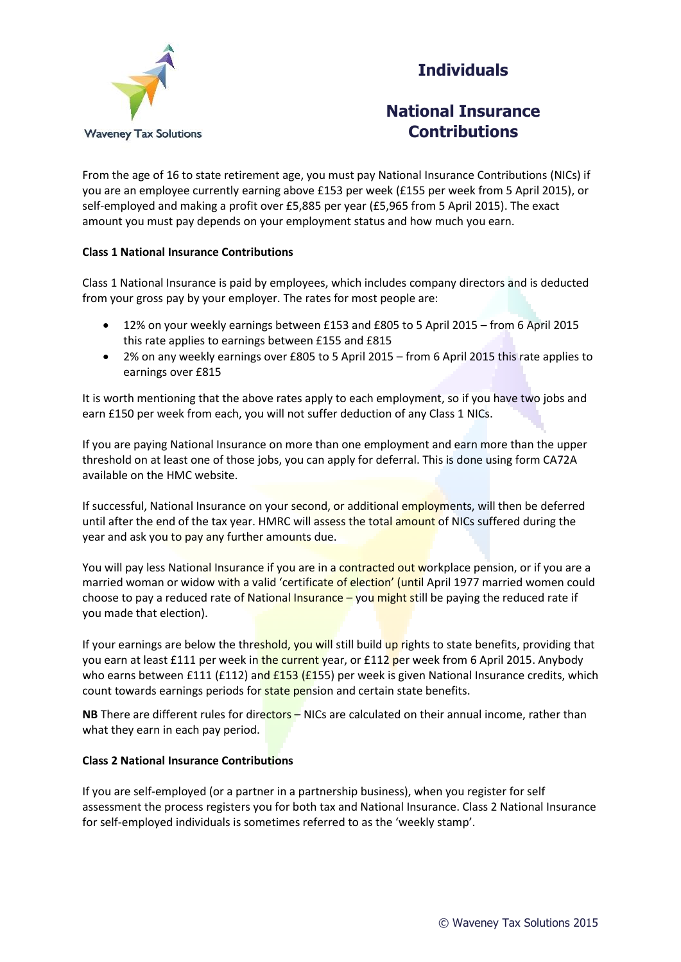



## **National Insurance Contributions**

From the age of 16 to state retirement age, you must pay National Insurance Contributions (NICs) if you are an employee currently earning above £153 per week (£155 per week from 5 April 2015), or self-employed and making a profit over £5,885 per year (£5,965 from 5 April 2015). The exact amount you must pay depends on your employment status and how much you earn.

### **Class 1 National Insurance Contributions**

Class 1 National Insurance is paid by employees, which includes company directors and is deducted from your gross pay by your employer. The rates for most people are:

- 12% on your weekly earnings between £153 and £805 to 5 April 2015 from 6 April 2015 this rate applies to earnings between £155 and £815
- 2% on any weekly earnings over £805 to 5 April 2015 from 6 April 2015 this rate applies to earnings over £815

It is worth mentioning that the above rates apply to each employment, so if you have two jobs and earn £150 per week from each, you will not suffer deduction of any Class 1 NICs.

If you are paying National Insurance on more than one employment and earn more than the upper threshold on at least one of those jobs, you can apply for deferral. This is done using form CA72A available on the HMC website.

If successful, National Insurance on your second, or additional employments, will then be deferred until after the end of the tax year. HMRC will assess the total amount of NICs suffered during the year and ask you to pay any further amounts due.

You will pay less National Insurance if you are in a contracted out workplace pension, or if you are a married woman or widow with a valid 'certificate of election' (until April 1977 married women could choose to pay a reduced rate of National Insurance  $-$  you might still be paying the reduced rate if you made that election).

If your earnings are below the threshold, you will still build up rights to state benefits, providing that you earn at least £111 per week in the current year, or £112 per week from 6 April 2015. Anybody who earns between £111 (£112) and  $E153$  (£155) per week is given National Insurance credits, which count towards earnings periods for state pension and certain state benefits.

**NB** There are different rules for directors – NICs are calculated on their annual income, rather than what they earn in each pay period.

### **Class 2 National Insurance Contributions**

If you are self-employed (or a partner in a partnership business), when you register for self assessment the process registers you for both tax and National Insurance. Class 2 National Insurance for self-employed individuals is sometimes referred to as the 'weekly stamp'.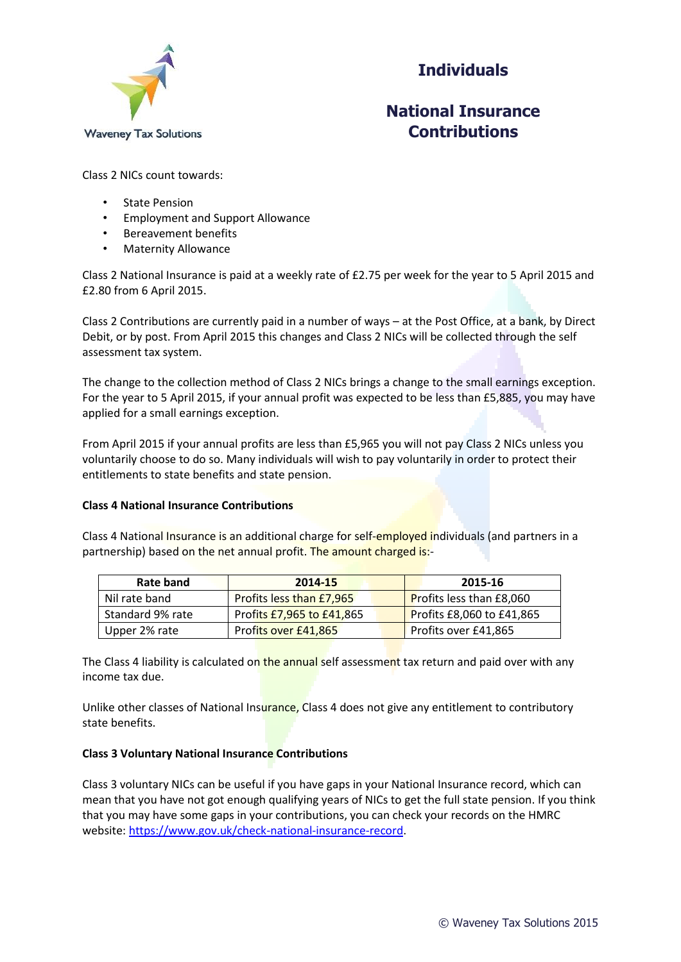

**Individuals**

## **National Insurance Contributions**

Class 2 NICs count towards:

- State Pension
- Employment and Support Allowance
- Bereavement benefits
- Maternity Allowance

Class 2 National Insurance is paid at a weekly rate of £2.75 per week for the year to 5 April 2015 and £2.80 from 6 April 2015.

Class 2 Contributions are currently paid in a number of ways – at the Post Office, at a bank, by Direct Debit, or by post. From April 2015 this changes and Class 2 NICs will be collected through the self assessment tax system.

The change to the collection method of Class 2 NICs brings a change to the small earnings exception. For the year to 5 April 2015, if your annual profit was expected to be less than £5,885, you may have applied for a small earnings exception.

From April 2015 if your annual profits are less than £5,965 you will not pay Class 2 NICs unless you voluntarily choose to do so. Many individuals will wish to pay voluntarily in order to protect their entitlements to state benefits and state pension.

### **Class 4 National Insurance Contributions**

Class 4 National Insurance is an additional charge for self-employed individuals (and partners in a partnership) based on the net annual profit. The amount charged is:-

| Rate band        | 2014-15                   | 2015-16                         |
|------------------|---------------------------|---------------------------------|
| Nil rate band    | Profits less than £7,965  | <b>Profits less than £8,060</b> |
| Standard 9% rate | Profits £7,965 to £41,865 | Profits £8,060 to £41,865       |
| Upper 2% rate    | Profits over £41,865      | Profits over £41,865            |

The Class 4 liability is calculated on the annual self assessment tax return and paid over with any income tax due.

Unlike other classes of National Insurance, Class 4 does not give any entitlement to contributory state benefits.

### **Class 3 Voluntary National Insurance Contributions**

Class 3 voluntary NICs can be useful if you have gaps in your National Insurance record, which can mean that you have not got enough qualifying years of NICs to get the full state pension. If you think that you may have some gaps in your contributions, you can check your records on the HMRC website[: https://www.gov.uk/check-national-insurance-record.](https://www.gov.uk/check-national-insurance-record)